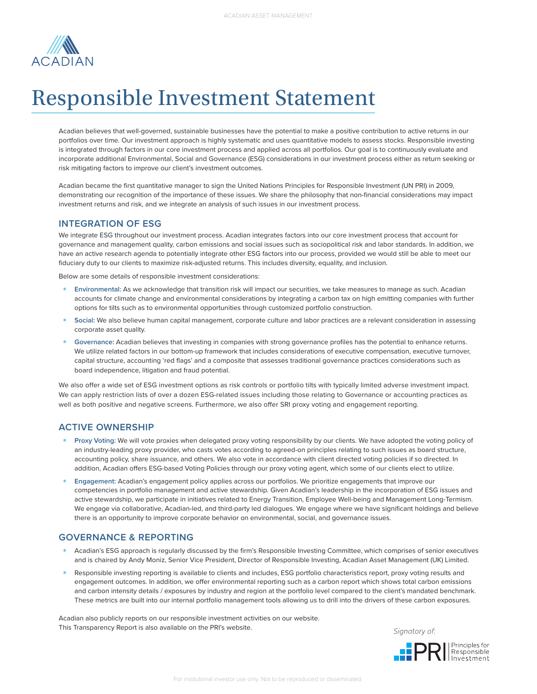

# Responsible Investment Statement

Acadian believes that well-governed, sustainable businesses have the potential to make a positive contribution to active returns in our portfolios over time. Our investment approach is highly systematic and uses quantitative models to assess stocks. Responsible investing is integrated through factors in our core investment process and applied across all portfolios. Our goal is to continuously evaluate and incorporate additional Environmental, Social and Governance (ESG) considerations in our investment process either as return seeking or risk mitigating factors to improve our client's investment outcomes.

Acadian became the first quantitative manager to sign the United Nations Principles for Responsible Investment (UN PRI) in 2009, demonstrating our recognition of the importance of these issues. We share the philosophy that non-financial considerations may impact investment returns and risk, and we integrate an analysis of such issues in our investment process.

### **INTEGRATION OF ESG**

We integrate ESG throughout our investment process. Acadian integrates factors into our core investment process that account for governance and management quality, carbon emissions and social issues such as sociopolitical risk and labor standards. In addition, we have an active research agenda to potentially integrate other ESG factors into our process, provided we would still be able to meet our fiduciary duty to our clients to maximize risk-adjusted returns. This includes diversity, equality, and inclusion.

Below are some details of responsible investment considerations:

- **Environmental:** As we acknowledge that transition risk will impact our securities, we take measures to manage as such. Acadian accounts for climate change and environmental considerations by integrating a carbon tax on high emitting companies with further options for tilts such as to environmental opportunities through customized portfolio construction.
- **Social:** We also believe human capital management, corporate culture and labor practices are a relevant consideration in assessing corporate asset quality.
- **Governance:** Acadian believes that investing in companies with strong governance profiles has the potential to enhance returns. We utilize related factors in our bottom-up framework that includes considerations of executive compensation, executive turnover, capital structure, accounting 'red flags' and a composite that assesses traditional governance practices considerations such as board independence, litigation and fraud potential.

We also offer a wide set of ESG investment options as risk controls or portfolio tilts with typically limited adverse investment impact. We can apply restriction lists of over a dozen ESG-related issues including those relating to Governance or accounting practices as well as both positive and negative screens. Furthermore, we also offer SRI proxy voting and engagement reporting.

#### **ACTIVE OWNERSHIP**

- **Proxy Voting:** We will vote proxies when delegated proxy voting responsibility by our clients. We have adopted the voting policy of an industry-leading proxy provider, who casts votes according to agreed-on principles relating to such issues as board structure, accounting policy, share issuance, and others. We also vote in accordance with client directed voting policies if so directed. In addition, Acadian offers ESG-based Voting Policies through our proxy voting agent, which some of our clients elect to utilize.
- **Engagement:** Acadian's engagement policy applies across our portfolios. We prioritize engagements that improve our competencies in portfolio management and active stewardship. Given Acadian's leadership in the incorporation of ESG issues and active stewardship, we participate in initiatives related to Energy Transition, Employee Well-being and Management Long-Termism. We engage via collaborative, Acadian-led, and third-party led dialogues. We engage where we have significant holdings and believe there is an opportunity to improve corporate behavior on environmental, social, and governance issues.

## **GOVERNANCE & REPORTING**

- Acadian's ESG approach is regularly discussed by the firm's Responsible Investing Committee, which comprises of senior executives and is chaired by Andy Moniz, Senior Vice President, Director of Responsible Investing, Acadian Asset Management (UK) Limited.
- Responsible investing reporting is available to clients and includes, ESG portfolio characteristics report, proxy voting results and engagement outcomes. In addition, we offer environmental reporting such as a carbon report which shows total carbon emissions and carbon intensity details / exposures by industry and region at the portfolio level compared to the client's mandated benchmark. These metrics are built into our internal portfolio management tools allowing us to drill into the drivers of these carbon exposures.

Acadian also publicly reports on our responsible investment activities on our website. This Transparency Report is also available on the PRI's website.

Signatory of: